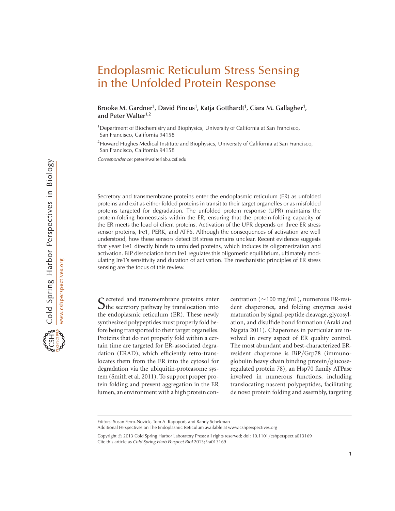# Endoplasmic Reticulum Stress Sensing in the Unfolded Protein Response

Brooke M. Gardner<sup>1</sup>, David Pincus<sup>1</sup>, Katja Gotthardt<sup>1</sup>, Ciara M. Gallagher<sup>1</sup>, and Peter Walter<sup>1,2</sup>

<sup>1</sup>Department of Biochemistry and Biophysics, University of California at San Francisco, San Francisco, California 94158

<sup>2</sup> Howard Hughes Medical Institute and Biophysics, University of California at San Francisco, San Francisco, California 94158

Correspondence: peter@walterlab.ucsf.edu

Secretory and transmembrane proteins enter the endoplasmic reticulum (ER) as unfolded proteins and exit as either folded proteins in transit to their target organelles or as misfolded proteins targeted for degradation. The unfolded protein response (UPR) maintains the protein-folding homeostasis within the ER, ensuring that the protein-folding capacity of the ER meets the load of client proteins. Activation of the UPR depends on three ER stress sensor proteins, Ire1, PERK, and ATF6. Although the consequences of activation are well understood, how these sensors detect ER stress remains unclear. Recent evidence suggests that yeast Ire1 directly binds to unfolded proteins, which induces its oligomerization and activation. BiP dissociation from Ire1 regulates this oligomeric equilibrium, ultimately modulating Ire1's sensitivity and duration of activation. The mechanistic principles of ER stress sensing are the focus of this review.

Secreted and transmembrane proteins enter The secretory pathway by translocation into the endoplasmic reticulum (ER). These newly synthesized polypeptides must properly fold before being transported to their target organelles. Proteins that do not properly fold within a certain time are targeted for ER-associated degradation (ERAD), which efficiently retro-translocates them from the ER into the cytosol for degradation via the ubiquitin-proteasome system (Smith et al. 2011). To support proper protein folding and prevent aggregation in the ER lumen, an environment with a high protein con-

centration ( $\sim$ 100 mg/mL), numerous ER-resident chaperones, and folding enzymes assist maturation by signal-peptide cleavage, glycosylation, and disulfide bond formation (Araki and Nagata 2011). Chaperones in particular are involved in every aspect of ER quality control. The most abundant and best-characterized ERresident chaperone is BiP/Grp78 (immunoglobulin heavy chain binding protein/glucoseregulated protein 78), an Hsp70 family ATPase involved in numerous functions, including translocating nascent polypeptides, facilitating de novo protein folding and assembly, targeting

Editors: Susan Ferro-Novick, Tom A. Rapoport, and Randy Schekman

Additional Perspectives on The Endoplasmic Reticulum available at www.cshperspectives.org

Copyright @ 2013 Cold Spring Harbor Laboratory Press; all rights reserved; doi: 10.1101/cshperspect.a013169 Cite this article as Cold Spring Harb Perspect Biol 2013;5:a013169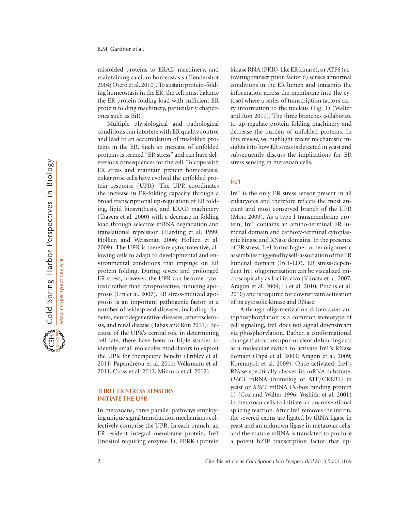misfolded proteins to ERAD machinery, and maintaining calcium homeostasis (Hendershot 2004; Otero et al. 2010). To sustain protein-folding homeostasis in the ER, the cell must balance the ER protein folding load with sufficient ER protein folding machinery, particularly chaperones such as BiP.

Multiple physiological and pathological conditions can interfere with ER quality control and lead to an accumulation of misfolded proteins in the ER. Such an increase of unfolded proteins is termed "ER stress" and can have deleterious consequences for the cell. To cope with ER stress and maintain protein homeostasis, eukaryotic cells have evolved the unfolded protein response (UPR). The UPR coordinates the increase in ER-folding capacity through a broad transcriptional up-regulation of ER folding, lipid biosynthesis, and ERAD machinery (Travers et al. 2000) with a decrease in folding load through selective mRNA degradation and translational repression (Harding et al. 1999; Hollien and Weissman 2006; Hollien et al. 2009). The UPR is therefore cytoprotective, allowing cells to adapt to developmental and environmental conditions that impinge on ER protein folding. During severe and prolonged ER stress, however, the UPR can become cytotoxic rather than cytoprotective, inducing apoptosis (Lin et al. 2007). ER stress-induced apoptosis is an important pathogenic factor in a number of widespread diseases, including diabetes, neurodegenerative diseases, atherosclerosis, and renal disease (Tabas and Ron 2011). Because of the UPR's central role in determining cell fate, there have been multiple studies to identify small molecules modulators to exploit the UPR for therapeutic benefit (Fribley et al. 2011; Papandreou et al. 2011; Volkmann et al. 2011; Cross et al. 2012; Mimura et al. 2012).

#### THREE ER STRESS SENSORS INITIATE THE UPR

In metazoans, three parallel pathways employing unique signal transduction mechanisms collectively comprise the UPR. In each branch, an ER-resident integral membrane protein, Ire1 (inositol requiring enzyme 1), PERK ( protein kinase RNA (PKR)-like ER kinase), or ATF6 (activating transcription factor 6) senses abnormal conditions in the ER lumen and transmits the information across the membrane into the cytosol where a series of transcription factors carry information to the nucleus (Fig. 1) (Walter and Ron 2011). The three branches collaborate to up-regulate protein folding machinery and decrease the burden of unfolded proteins. In this review, we highlight recent mechanistic insights into how ER stress is detected in yeast and subsequently discuss the implications for ER stress sensing in metazoan cells.

#### Ire1

Ire1 is the only ER stress sensor present in all eukaryotes and therefore reflects the most ancient and most conserved branch of the UPR (Mori 2009). As a type I transmembrane protein, Ire1 contains an amino-terminal ER lumenal domain and carboxy-terminal cytoplasmic kinase and RNase domains. In the presence of ER stress, Ire1 forms higher-order oligomeric assemblies triggered by self-association of the ER lumenal domain (Ire1-LD). ER stress-dependent Ire1 oligomerization can be visualized microscopically as foci in vivo (Kimata et al. 2007; Aragon et al. 2009; Li et al. 2010; Pincus et al. 2010) and is required for downstream activation of its cytosolic kinase and RNase.

Although oligomerization driven trans-autophosphorylation is a common stereotype of cell signaling, Ire1 does not signal downstream via phosphorylation. Rather, a conformational change that occurs upon nucleotide binding acts as a molecular switch to activate Ire1's RNase domain (Papa et al. 2003; Aragon et al. 2009; Korennykh et al. 2009). Once activated, Ire1's RNase specifically cleaves its mRNA substrate, HAC1 mRNA (homolog of ATF/CREB1) in yeast or XBP1 mRNA (X-box binding protein 1) (Cox and Walter 1996; Yoshida et al. 2001) in metazoan cells to initiate an unconventional splicing reaction. After Ire1 removes the intron, the severed exons are ligated by tRNA ligase in yeast and an unknown ligase in metazoan cells, and the mature mRNA is translated to produce a potent bZIP transcription factor that up-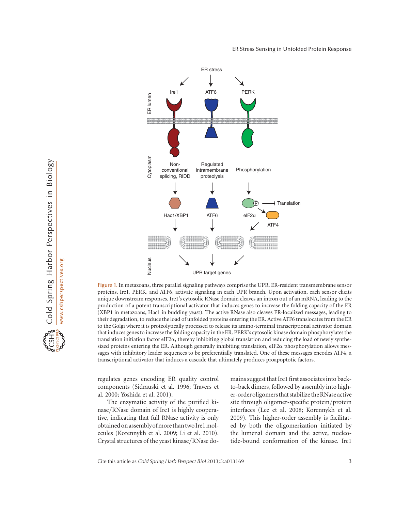

Cold Spring Harbor Perspectives in Biology www.cshperspectives.org

Figure 1. In metazoans, three parallel signaling pathways comprise the UPR. ER-resident transmembrane sensor proteins, Ire1, PERK, and ATF6, activate signaling in each UPR branch. Upon activation, each sensor elicits unique downstream responses. Ire1's cytosolic RNase domain cleaves an intron out of an mRNA, leading to the production of a potent transcriptional activator that induces genes to increase the folding capacity of the ER (XBP1 in metazoans, Hac1 in budding yeast). The active RNase also cleaves ER-localized messages, leading to their degradation, to reduce the load of unfolded proteins entering the ER. Active ATF6 translocates from the ER to the Golgi where it is proteolytically processed to release its amino-terminal transcriptional activator domain that induces genes to increase the folding capacity in the ER. PERK's cytosolic kinase domain phosphorylates the translation initiation factor eIF2a, thereby inhibiting global translation and reducing the load of newly synthesized proteins entering the ER. Although generally inhibiting translation,  $eIF2\alpha$  phosphorylation allows messages with inhibitory leader sequences to be preferentially translated. One of these messages encodes ATF4, a transcriptional activator that induces a cascade that ultimately produces proapoptotic factors.

regulates genes encoding ER quality control components (Sidrauski et al. 1996; Travers et al. 2000; Yoshida et al. 2001).

The enzymatic activity of the purified kinase/RNase domain of Ire1 is highly cooperative, indicating that full RNase activity is only obtained on assemblyofmore than two Ire1molecules (Korennykh et al. 2009; Li et al. 2010). Crystal structures of the yeast kinase/RNase domains suggest that Ire1 first associates into backto-back dimers, followed by assembly into higher-orderoligomers that stabilize theRNase active site through oligomer-specific protein/protein interfaces (Lee et al. 2008; Korennykh et al. 2009). This higher-order assembly is facilitated by both the oligomerization initiated by the lumenal domain and the active, nucleotide-bound conformation of the kinase. Ire1

Cite this article as Cold Spring Harb Perspect Biol 2013;5:a013169 3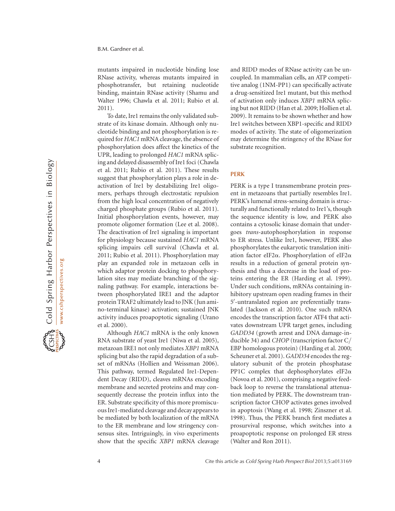mutants impaired in nucleotide binding lose RNase activity, whereas mutants impaired in phosphotransfer, but retaining nucleotide binding, maintain RNase activity (Shamu and Walter 1996; Chawla et al. 2011; Rubio et al. 2011).

To date, Ire1 remains the only validated substrate of its kinase domain. Although only nucleotide binding and not phosphorylation is required for HAC1 mRNA cleavage, the absence of phosphorylation does affect the kinetics of the UPR, leading to prolonged HAC1 mRNA splicing and delayed disassembly of Ire1 foci (Chawla et al. 2011; Rubio et al. 2011). These results suggest that phosphorylation plays a role in deactivation of Ire1 by destabilizing Ire1 oligomers, perhaps through electrostatic repulsion from the high local concentration of negatively charged phosphate groups (Rubio et al. 2011). Initial phosphorylation events, however, may promote oligomer formation (Lee et al. 2008). The deactivation of Ire1 signaling is important for physiology because sustained HAC1 mRNA splicing impairs cell survival (Chawla et al. 2011; Rubio et al. 2011). Phosphorylation may play an expanded role in metazoan cells in which adaptor protein docking to phosphorylation sites may mediate branching of the signaling pathway. For example, interactions between phosphorylated IRE1 and the adaptor protein TRAF2 ultimately lead to JNK (Jun amino-terminal kinase) activation; sustained JNK activity induces proapoptotic signaling (Urano et al. 2000).

Although HAC1 mRNA is the only known RNA substrate of yeast Ire1 (Niwa et al. 2005), metazoan IRE1 not only mediates XBP1 mRNA splicing but also the rapid degradation of a subset of mRNAs (Hollien and Weissman 2006). This pathway, termed Regulated Ire1-Dependent Decay (RIDD), cleaves mRNAs encoding membrane and secreted proteins and may consequently decrease the protein influx into the ER. Substrate specificity of this more promiscuous Ire1-mediated cleavage and decay appears to be mediated by both localization of the mRNA to the ER membrane and low stringency consensus sites. Intriguingly, in vivo experiments show that the specific XBP1 mRNA cleavage and RIDD modes of RNase activity can be uncoupled. In mammalian cells, an ATP competitive analog (1NM-PP1) can specifically activate a drug-sensitized Ire1 mutant, but this method of activation only induces XBP1 mRNA splicing but not RIDD (Han et al. 2009; Hollien et al. 2009). It remains to be shown whether and how Ire1 switches between XBP1-specific and RIDD modes of activity. The state of oligomerization may determine the stringency of the RNase for substrate recognition.

# PERK

PERK is a type I transmembrane protein present in metazoans that partially resembles Ire1. PERK's lumenal stress-sensing domain is structurally and functionally related to Ire1's, though the sequence identity is low, and PERK also contains a cytosolic kinase domain that undergoes trans-autophosphorylation in response to ER stress. Unlike Ire1, however, PERK also phosphorylates the eukaryotic translation initiation factor eIF2 $\alpha$ . Phosphorylation of eIF2 $\alpha$ results in a reduction of general protein synthesis and thus a decrease in the load of proteins entering the ER (Harding et al. 1999). Under such conditions, mRNAs containing inhibitory upstream open reading frames in their 5'-untranslated region are preferentially translated (Jackson et al. 2010). One such mRNA encodes the transcription factor ATF4 that activates downstream UPR target genes, including GADD34 (growth arrest and DNA damage-inducible 34) and CHOP (transcription factor C/ EBP homologous protein) (Harding et al. 2000; Scheuner et al. 2001). GADD34 encodes the regulatory subunit of the protein phosphatase PP1C complex that dephosphorylates eIF2 $\alpha$ (Novoa et al. 2001), comprising a negative feedback loop to reverse the translational attenuation mediated by PERK. The downstream transcription factor CHOP activates genes involved in apoptosis (Wang et al. 1998; Zinszner et al. 1998). Thus, the PERK branch first mediates a prosurvival response, which switches into a proapoptotic response on prolonged ER stress (Walter and Ron 2011).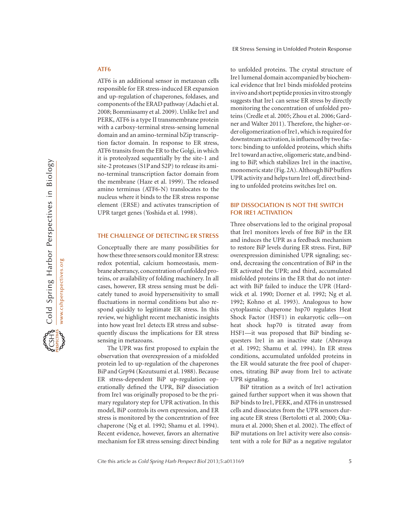# ATF6

ATF6 is an additional sensor in metazoan cells responsible for ER stress-induced ER expansion and up-regulation of chaperones, foldases, and components of the ERAD pathway (Adachi et al. 2008; Bommiasamy et al. 2009). Unlike Ire1 and PERK, ATF6 is a type II transmembrane protein with a carboxy-terminal stress-sensing lumenal domain and an amino-terminal bZip transcription factor domain. In response to ER stress, ATF6 transits from the ER to the Golgi, in which it is proteolyzed sequentially by the site-1 and site-2 proteases (S1P and S2P) to release its amino-terminal transcription factor domain from the membrane (Haze et al. 1999). The released amino terminus (ATF6-N) translocates to the nucleus where it binds to the ER stress response element (ERSE) and activates transcription of UPR target genes (Yoshida et al. 1998).

#### THE CHALLENGE OF DETECTING ER STRESS

Conceptually there are many possibilities for how these three sensors could monitor ER stress: redox potential, calcium homeostasis, membrane aberrancy, concentration of unfolded proteins, or availability of folding machinery. In all cases, however, ER stress sensing must be delicately tuned to avoid hypersensitivity to small fluctuations in normal conditions but also respond quickly to legitimate ER stress. In this review, we highlight recent mechanistic insights into how yeast Ire1 detects ER stress and subsequently discuss the implications for ER stress sensing in metazoans.

The UPR was first proposed to explain the observation that overexpression of a misfolded protein led to up-regulation of the chaperones BiP and Grp94 (Kozutsumi et al. 1988). Because ER stress-dependent BiP up-regulation operationally defined the UPR, BiP dissociation from Ire1 was originally proposed to be the primary regulatory step for UPR activation. In this model, BiP controls its own expression, and ER stress is monitored by the concentration of free chaperone (Ng et al. 1992; Shamu et al. 1994). Recent evidence, however, favors an alternative mechanism for ER stress sensing: direct binding to unfolded proteins. The crystal structure of Ire1 lumenal domain accompanied by biochemical evidence that Ire1 binds misfolded proteins invivo and short peptide proxiesinvitro strongly suggests that Ire1 can sense ER stress by directly monitoring the concentration of unfolded proteins (Credle et al. 2005; Zhou et al. 2006; Gardner and Walter 2011). Therefore, the higher-order oligomerization of Ire1, which is required for downstream activation, is influenced by two factors: binding to unfolded proteins, which shifts Ire1 toward an active, oligomeric state, and binding to BiP, which stabilizes Ire1 in the inactive, monomeric state (Fig.2A).Although BiP buffers UPR activity and helps turn Ire1 off, direct binding to unfolded proteins switches Ire1 on.

# BIP DISSOCIATION IS NOT THE SWITCH FOR IRE1 ACTIVATION

Three observations led to the original proposal that Ire1 monitors levels of free BiP in the ER and induces the UPR as a feedback mechanism to restore BiP levels during ER stress. First, BiP overexpression diminished UPR signaling; second, decreasing the concentration of BiP in the ER activated the UPR; and third, accumulated misfolded proteins in the ER that do not interact with BiP failed to induce the UPR (Hardwick et al. 1990; Dorner et al. 1992; Ng et al. 1992; Kohno et al. 1993). Analogous to how cytoplasmic chaperone hsp70 regulates Heat Shock Factor (HSF1) in eukaryotic cells—on heat shock hsp70 is titrated away from HSF1—it was proposed that BiP binding sequesters Ire1 in an inactive state (Abravaya et al. 1992; Shamu et al. 1994). In ER stress conditions, accumulated unfolded proteins in the ER would saturate the free pool of chaperones, titrating BiP away from Ire1 to activate UPR signaling.

BiP titration as a switch of Ire1 activation gained further support when it was shown that BiP binds to Ire1, PERK, and ATF6 in unstressed cells and dissociates from the UPR sensors during acute ER stress (Bertolotti et al. 2000; Okamura et al. 2000; Shen et al. 2002). The effect of BiP mutations on Ire1 activity were also consistent with a role for BiP as a negative regulator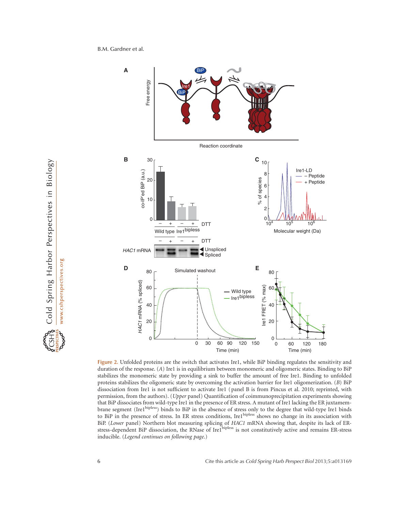B.M. Gardner et al.



Figure 2. Unfolded proteins are the switch that activates Ire1, while BiP binding regulates the sensitivity and duration of the response. (A) Ire1 is in equilibrium between monomeric and oligomeric states. Binding to BiP stabilizes the monomeric state by providing a sink to buffer the amount of free Ire1. Binding to unfolded proteins stabilizes the oligomeric state by overcoming the activation barrier for Ire1 oligomerization. (B) BiP dissociation from Ire1 is not sufficient to activate Ire1 (panel B is from Pincus et al. 2010; reprinted, with permission, from the authors). (Upper panel) Quantification of coimmunoprecipitation experiments showing that BiP dissociates from wild-type Ire1 in the presence of ER stress. A mutant of Ire1 lacking the ER juxtamembrane segment (Ire1<sup>bipless</sup>) binds to BiP in the absence of stress only to the degree that wild-type Ire1 binds to BiP in the presence of stress. In ER stress conditions, Ire1<sup>bipless</sup> shows no change in its association with BiP. (Lower panel) Northern blot measuring splicing of HAC1 mRNA showing that, despite its lack of ERstress-dependent BiP dissociation, the RNase of Ire1<sup>bipless</sup> is not constitutively active and remains ER-stress inducible. (Legend continues on following page.)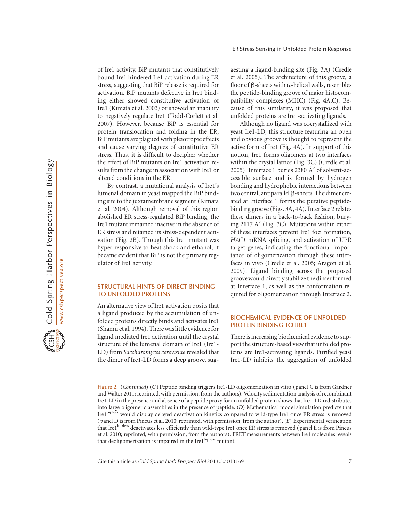of Ire1 activity. BiP mutants that constitutively bound Ire1 hindered Ire1 activation during ER stress, suggesting that BiP release is required for activation. BiP mutants defective in Ire1 binding either showed constitutive activation of Ire1 (Kimata et al. 2003) or showed an inability to negatively regulate Ire1 (Todd-Corlett et al. 2007). However, because BiP is essential for protein translocation and folding in the ER, BiP mutants are plagued with pleiotropic effects and cause varying degrees of constitutive ER stress. Thus, it is difficult to decipher whether the effect of BiP mutants on Ire1 activation results from the change in association with Ire1 or altered conditions in the ER.

By contrast, a mutational analysis of Ire1's lumenal domain in yeast mapped the BiP binding site to the juxtamembrane segment (Kimata et al. 2004). Although removal of this region abolished ER stress-regulated BiP binding, the Ire1 mutant remained inactive in the absence of ER stress and retained its stress-dependent activation (Fig. 2B). Though this Ire1 mutant was hyper-responsive to heat shock and ethanol, it became evident that BiP is not the primary regulator of Ire1 activity.

# STRUCTURAL HINTS OF DIRECT BINDING TO UNFOLDED PROTEINS

An alternative view of Ire1 activation posits that a ligand produced by the accumulation of unfolded proteins directly binds and activates Ire1 (Shamu et al. 1994). Therewas little evidence for ligand mediated Ire1 activation until the crystal structure of the lumenal domain of Ire1 (Ire1- LD) from Saccharomyces cerevisiae revealed that the dimer of Ire1-LD forms a deep groove, suggesting a ligand-binding site (Fig. 3A) (Credle et al. 2005). The architecture of this groove, a floor of  $\beta$ -sheets with  $\alpha$ -helical walls, resembles the peptide-binding groove of major histocompatibility complexes (MHC) (Fig. 4A,C). Because of this similarity, it was proposed that unfolded proteins are Ire1-activating ligands.

Although no ligand was cocrystallized with yeast Ire1-LD, this structure featuring an open and obvious groove is thought to represent the active form of Ire1 (Fig. 4A). In support of this notion, Ire1 forms oligomers at two interfaces within the crystal lattice (Fig. 3C) (Credle et al. 2005). Interface 1 buries 2380  $\AA$ <sup>2</sup> of solvent-accessible surface and is formed by hydrogen bonding and hydrophobic interactions between two central, antiparallel  $\beta$ -sheets. The dimer created at Interface 1 forms the putative peptidebinding groove (Figs. 3A, 4A). Interface 2 relates these dimers in a back-to-back fashion, burying 2117  $\AA^2$  (Fig. 3C). Mutations within either of these interfaces prevent Ire1 foci formation, HAC1 mRNA splicing, and activation of UPR target genes, indicating the functional importance of oligomerization through these interfaces in vivo (Credle et al. 2005; Aragon et al. 2009). Ligand binding across the proposed groovewould directly stabilize the dimer formed at Interface 1, as well as the conformation required for oligomerization through Interface 2.

## BIOCHEMICAL EVIDENCE OF UNFOLDED PROTEIN BINDING TO IRE1

There is increasing biochemical evidence to support the structure-based view that unfolded proteins are Ire1-activating ligands. Purified yeast Ire1-LD inhibits the aggregation of unfolded

Figure 2. (Continued) (C) Peptide binding triggers Ire1-LD oligomerization in vitro (panel C is from Gardner and Walter 2011; reprinted, with permission, from the authors). Velocity sedimentation analysis of recombinant Ire1-LD in the presence and absence of a peptide proxy for an unfolded protein shows that Ire1-LD redistributes into large oligomeric assemblies in the presence of peptide. (D) Mathematical model simulation predicts that Ire1bipless would display delayed deactivation kinetics compared to wild-type Ire1 once ER stress is removed (panel D is from Pincus et al. 2010; reprinted, with permission, from the author). (E) Experimental verification that Ire1bipless deactivates less efficiently than wild-type Ire1 once ER stress is removed (panel E is from Pincus et al. 2010; reprinted, with permission, from the authors). FRET measurements between Ire1 molecules reveals that deoligomerization is impaired in the Ire1<sup>bipless</sup> mutant.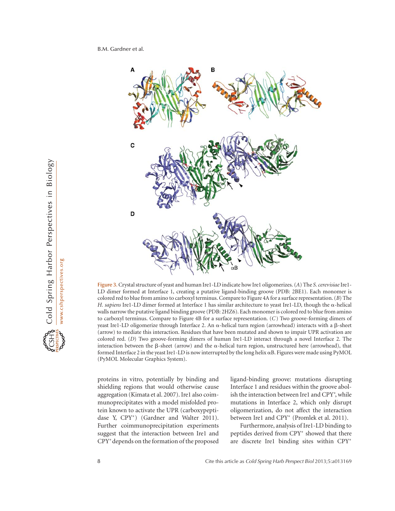

Figure 3. Crystal structure of yeast and human Ire1-LD indicate how Ire1 oligomerizes. (A) The S. cerevisiae Ire1-LD dimer formed at Interface 1, creating a putative ligand-binding groove (PDB: 2BE1). Each monomer is colored red to blue from amino to carboxyl terminus. Compare to Figure 4A for a surface representation. (B) The H. sapiens Ire1-LD dimer formed at Interface 1 has similar architecture to yeast Ire1-LD, though the a-helical walls narrow the putative ligand binding groove (PDB: 2HZ6). Each monomer is colored red to blue from amino to carboxyl terminus. Compare to Figure 4B for a surface representation. (C) Two groove-forming dimers of yeast Ire1-LD oligomerize through Interface 2. An  $\alpha$ -helical turn region (arrowhead) interacts with a  $\beta$ -sheet (arrow) to mediate this interaction. Residues that have been mutated and shown to impair UPR activation are colored red. (D) Two groove-forming dimers of human Ire1-LD interact through a novel Interface 2. The interaction between the  $\beta$ -sheet (arrow) and the  $\alpha$ -helical turn region, unstructured here (arrowhead), that formed Interface 2 in the yeast Ire1-LD is now interrupted by the long helix  $\alpha$ B. Figures were made using PyMOL (PyMOL Molecular Graphics System).

proteins in vitro, potentially by binding and shielding regions that would otherwise cause aggregation (Kimata et al. 2007). Ire1 also coimmunoprecipitates with a model misfolded protein known to activate the UPR (carboxypeptidase Y, CPY<sup>\*</sup>) (Gardner and Walter 2011). Further coimmunoprecipitation experiments suggest that the interaction between Ire1 and CPY-depends on the formation of the proposed

ligand-binding groove: mutations disrupting Interface 1 and residues within the groove abolish the interaction between Ire1 and CPY\*, while mutations in Interface 2, which only disrupt oligomerization, do not affect the interaction between Ire1 and CPY<sup>\*</sup> (Promlek et al. 2011).

Furthermore, analysis of Ire1-LD binding to peptides derived from CPY<sup>\*</sup> showed that there are discrete Ire1 binding sites within CPY\*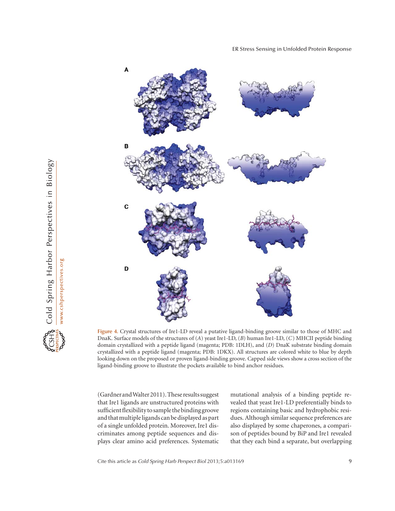

Figure 4. Crystal structures of Ire1-LD reveal a putative ligand-binding groove similar to those of MHC and DnaK. Surface models of the structures of (A) yeast Ire1-LD, (B) human Ire1-LD, (C) MHCII peptide binding domain crystallized with a peptide ligand (magenta; PDB: 1DLH), and (D) DnaK substrate binding domain crystallized with a peptide ligand (magenta; PDB: 1DKX). All structures are colored white to blue by depth looking down on the proposed or proven ligand-binding groove. Capped side views show a cross section of the ligand-binding groove to illustrate the pockets available to bind anchor residues.

(GardnerandWalter2011).These results suggest that Ire1 ligands are unstructured proteins with sufficient flexibility to sample the bindinggroove and that multiple ligands can be displayed as part of a single unfolded protein. Moreover, Ire1 discriminates among peptide sequences and displays clear amino acid preferences. Systematic mutational analysis of a binding peptide revealed that yeast Ire1-LD preferentially binds to regions containing basic and hydrophobic residues. Although similar sequence preferences are also displayed by some chaperones, a comparison of peptides bound by BiP and Ire1 revealed that they each bind a separate, but overlapping

Cite this article as *Cold Spring Harb Perspect Biol* 2013;5:a013169 99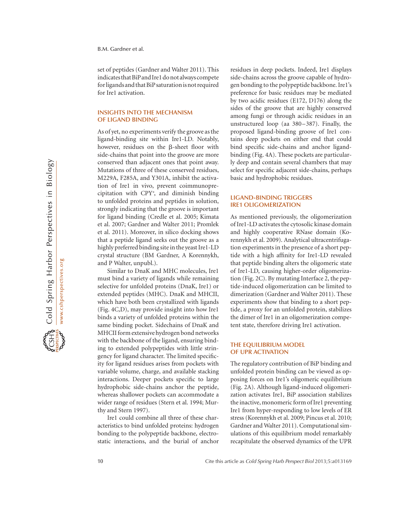set of peptides (Gardner and Walter 2011). This indicates that BiP and Ire1 do not always compete for ligands and that BiP saturation is not required for Ire1 activation.

#### INSIGHTS INTO THE MECHANISM OF LIGAND BINDING

As of yet, no experiments verify the groove as the ligand-binding site within Ire1-LD. Notably, however, residues on the  $\beta$ -sheet floor with side-chains that point into the groove are more conserved than adjacent ones that point away. Mutations of three of these conserved residues, M229A, F285A, and Y301A, inhibit the activation of Ire1 in vivo, prevent coimmunoprecipitation with CPY- , and diminish binding to unfolded proteins and peptides in solution, strongly indicating that the groove is important for ligand binding (Credle et al. 2005; Kimata et al. 2007; Gardner and Walter 2011; Promlek et al. 2011). Moreover, in silico docking shows that a peptide ligand seeks out the groove as a highly preferred binding site in the yeast Ire1-LD crystal structure (BM Gardner, A Korennykh, and P Walter, unpubl.).

Similar to DnaK and MHC molecules, Ire1 must bind a variety of ligands while remaining selective for unfolded proteins (DnaK, Ire1) or extended peptides (MHC). DnaK and MHCII, which have both been crystallized with ligands (Fig. 4C,D), may provide insight into how Ire1 binds a variety of unfolded proteins within the same binding pocket. Sidechains of DnaK and MHCII form extensive hydrogen bond networks with the backbone of the ligand, ensuring binding to extended polypeptides with little stringency for ligand character. The limited specificity for ligand residues arises from pockets with variable volume, charge, and available stacking interactions. Deeper pockets specific to large hydrophobic side-chains anchor the peptide, whereas shallower pockets can accommodate a wider range of residues (Stern et al. 1994; Murthy and Stern 1997).

Ire1 could combine all three of these characteristics to bind unfolded proteins: hydrogen bonding to the polypeptide backbone, electrostatic interactions, and the burial of anchor

residues in deep pockets. Indeed, Ire1 displays side-chains across the groove capable of hydrogen bonding to the polypeptide backbone. Ire1's preference for basic residues may be mediated by two acidic residues (E172, D176) along the sides of the groove that are highly conserved among fungi or through acidic residues in an unstructured loop (aa 380–387). Finally, the proposed ligand-binding groove of Ire1 contains deep pockets on either end that could bind specific side-chains and anchor ligandbinding (Fig. 4A). These pockets are particularly deep and contain several chambers that may select for specific adjacent side-chains, perhaps basic and hydrophobic residues.

# LIGAND-BINDING TRIGGERS IRE1 OLIGOMERIZATION

As mentioned previously, the oligomerization of Ire1-LD activates the cytosolic kinase domain and highly cooperative RNase domain (Korennykh et al. 2009). Analytical ultracentrifugation experiments in the presence of a short peptide with a high affinity for Ire1-LD revealed that peptide binding alters the oligomeric state of Ire1-LD, causing higher-order oligomerization (Fig. 2C). By mutating Interface 2, the peptide-induced oligomerization can be limited to dimerization (Gardner and Walter 2011). These experiments show that binding to a short peptide, a proxy for an unfolded protein, stabilizes the dimer of Ire1 in an oligomerization competent state, therefore driving Ire1 activation.

# THE EQUILIBRIUM MODEL OF UPR ACTIVATION

The regulatory contribution of BiP binding and unfolded protein binding can be viewed as opposing forces on Ire1's oligomeric equilibrium (Fig. 2A). Although ligand-induced oligomerization activates Ire1, BiP association stabilizes the inactive, monomeric form of Ire1 preventing Ire1 from hyper-responding to low levels of ER stress (Korennykh et al. 2009; Pincus et al. 2010; Gardner and Walter 2011). Computational simulations of this equilibrium model remarkably recapitulate the observed dynamics of the UPR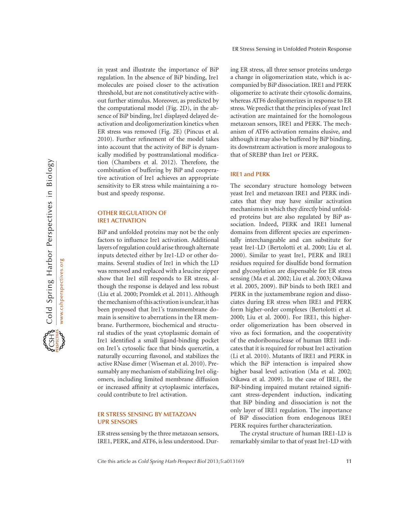in yeast and illustrate the importance of BiP regulation. In the absence of BiP binding, Ire1 molecules are poised closer to the activation threshold, but are not constitutively active without further stimulus. Moreover, as predicted by the computational model (Fig. 2D), in the absence of BiP binding, Ire1 displayed delayed deactivation and deoligomerization kinetics when ER stress was removed (Fig. 2E) (Pincus et al. 2010). Further refinement of the model takes into account that the activity of BiP is dynamically modified by posttranslational modification (Chambers et al. 2012). Therefore, the combination of buffering by BiP and cooperative activation of Ire1 achieves an appropriate sensitivity to ER stress while maintaining a robust and speedy response.

### OTHER REGULATION OF IRE1 ACTIVATION

BiP and unfolded proteins may not be the only factors to influence Ire1 activation. Additional layers of regulation could arise through alternate inputs detected either by Ire1-LD or other domains. Several studies of Ire1 in which the LD was removed and replaced with a leucine zipper show that Ire1 still responds to ER stress, although the response is delayed and less robust (Liu et al. 2000; Promlek et al. 2011). Although the mechanism of this activation is unclear, it has been proposed that Ire1's transmembrane domain is sensitive to aberrations in the ER membrane. Furthermore, biochemical and structural studies of the yeast cytoplasmic domain of Ire1 identified a small ligand-binding pocket on Ire1's cytosolic face that binds quercetin, a naturally occurring flavonol, and stabilizes the active RNase dimer (Wiseman et al. 2010). Presumably any mechanism of stabilizing Ire1 oligomers, including limited membrane diffusion or increased affinity at cytoplasmic interfaces, could contribute to Ire1 activation.

# ER STRESS SENSING BY METAZOAN UPR SENSORS

ER stress sensing by the three metazoan sensors, IRE1, PERK, and ATF6, is less understood. During ER stress, all three sensor proteins undergo a change in oligomerization state, which is accompanied by BiP dissociation. IRE1 and PERK oligomerize to activate their cytosolic domains, whereas ATF6 deoligomerizes in response to ER stress. We predict that the principles of yeast Ire1 activation are maintained for the homologous metazoan sensors, IRE1 and PERK. The mechanism of ATF6 activation remains elusive, and although it may also be buffered by BiP binding, its downstream activation is more analogous to that of SREBP than Ire1 or PERK.

# IRE1 and PERK

The secondary structure homology between yeast Ire1 and metazoan IRE1 and PERK indicates that they may have similar activation mechanisms in which they directly bind unfolded proteins but are also regulated by BiP association. Indeed, PERK and IRE1 lumenal domains from different species are experimentally interchangeable and can substitute for yeast Ire1-LD (Bertolotti et al. 2000; Liu et al. 2000). Similar to yeast Ire1, PERK and IRE1 residues required for disulfide bond formation and glycosylation are dispensable for ER stress sensing (Ma et al. 2002; Liu et al. 2003; Oikawa et al. 2005, 2009). BiP binds to both IRE1 and PERK in the juxtamembrane region and dissociates during ER stress when IRE1 and PERK form higher-order complexes (Bertolotti et al. 2000; Liu et al. 2000). For IRE1, this higherorder oligomerization has been observed in vivo as foci formation, and the cooperativity of the endoribonuclease of human IRE1 indicates that it is required for robust Ire1 activation (Li et al. 2010). Mutants of IRE1 and PERK in which the BiP interaction is impaired show higher basal level activation (Ma et al. 2002; Oikawa et al. 2009). In the case of IRE1, the BiP-binding impaired mutant retained significant stress-dependent induction, indicating that BiP binding and dissociation is not the only layer of IRE1 regulation. The importance of BiP dissociation from endogenous IRE1 PERK requires further characterization.

The crystal structure of human IRE1-LD is remarkably similar to that of yeast Ire1-LD with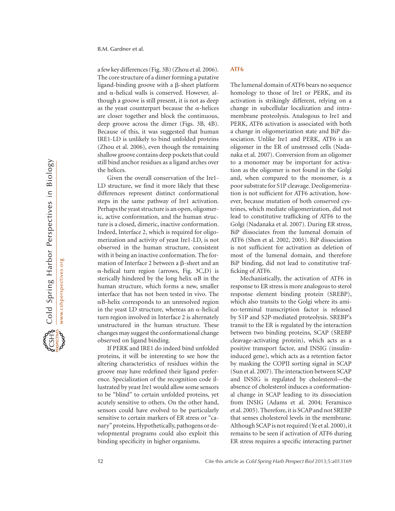B.M. Gardner et al.

afew key differences (Fig. 3B) (Zhou et al. 2006). The core structure of a dimer forming a putative ligand-binding groove with a  $\beta$ -sheet platform and  $\alpha$ -helical walls is conserved. However, although a groove is still present, it is not as deep as the yeast counterpart because the  $\alpha$ -helices are closer together and block the continuous, deep groove across the dimer (Figs. 3B, 4B). Because of this, it was suggested that human IRE1-LD is unlikely to bind unfolded proteins (Zhou et al. 2006), even though the remaining shallow groove contains deep pockets that could still bind anchor residues as a ligand arches over the helices.

Given the overall conservation of the Ire1- LD structure, we find it more likely that these differences represent distinct conformational steps in the same pathway of Ire1 activation. Perhaps the yeast structure is an open, oligomeric, active conformation, and the human structure is a closed, dimeric, inactive conformation. Indeed, Interface 2, which is required for oligomerization and activity of yeast Ire1-LD, is not observed in the human structure, consistent with it being an inactive conformation. The formation of Interface 2 between a  $\beta$ -sheet and an  $\alpha$ -helical turn region (arrows, Fig. 3C,D) is sterically hindered by the long helix  $\alpha$ B in the human structure, which forms a new, smaller interface that has not been tested in vivo. The aB-helix corresponds to an unresolved region in the yeast LD structure, whereas an  $\alpha$ -helical turn region involved in Interface 2 is alternately unstructured in the human structure. These changes may suggest the conformational change observed on ligand binding.

If PERK and IRE1 do indeed bind unfolded proteins, it will be interesting to see how the altering characteristics of residues within the groove may have redefined their ligand preference. Specialization of the recognition code illustrated by yeast Ire1 would allow some sensors to be "blind" to certain unfolded proteins, yet acutely sensitive to others. On the other hand, sensors could have evolved to be particularly sensitive to certain markers of ER stress or "canary" proteins. Hypothetically, pathogens or developmental programs could also exploit this binding specificity in higher organisms.

# ATF6

The lumenal domain of ATF6 bears no sequence homology to those of Ire1 or PERK, and its activation is strikingly different, relying on a change in subcellular localization and intramembrane proteolysis. Analogous to Ire1 and PERK, ATF6 activation is associated with both a change in oligomerization state and BiP dissociation. Unlike Ire1 and PERK, ATF6 is an oligomer in the ER of unstressed cells (Nadanaka et al. 2007). Conversion from an oligomer to a monomer may be important for activation as the oligomer is not found in the Golgi and, when compared to the monomer, is a poor substrate for S1P cleavage. Deoligomerization is not sufficient for ATF6 activation, however, because mutation of both conserved cysteines, which mediate oligomerization, did not lead to constitutive trafficking of ATF6 to the Golgi (Nadanaka et al. 2007). During ER stress, BiP dissociates from the lumenal domain of ATF6 (Shen et al. 2002, 2005). BiP dissociation is not sufficient for activation as deletion of most of the lumenal domain, and therefore BiP binding, did not lead to constitutive trafficking of ATF6.

Mechanistically, the activation of ATF6 in response to ER stress is more analogous to sterol response element binding protein (SREBP), which also transits to the Golgi where its amino-terminal transcription factor is released by S1P and S2P-mediated proteolysis. SREBP's transit to the ER is regulated by the interaction between two binding proteins, SCAP (SREBP cleavage-activating protein), which acts as a positive transport factor, and INSIG (insulininduced gene), which acts as a retention factor by masking the COPII sorting signal in SCAP (Sun et al. 2007). The interaction between SCAP and INSIG is regulated by cholesterol—the absence of cholesterol induces a conformational change in SCAP leading to its dissociation from INSIG (Adams et al. 2004; Feramisco et al. 2005). Therefore, it is SCAPand not SREBP that senses cholesterol levels in the membrane. Although SCAP is not required (Ye et al. 2000), it remains to be seen if activation of ATF6 during ER stress requires a specific interacting partner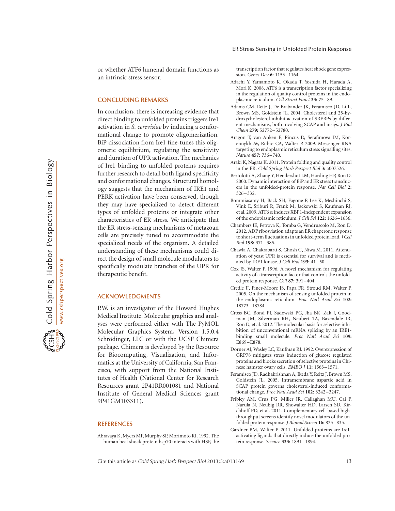or whether ATF6 lumenal domain functions as an intrinsic stress sensor.

#### CONCLUDING REMARKS

In conclusion, there is increasing evidence that direct binding to unfolded proteins triggers Ire1 activation in S. cerevisiae by inducing a conformational change to promote oligomerization. BiP dissociation from Ire1 fine-tunes this oligomeric equilibrium, regulating the sensitivity and duration of UPR activation. The mechanics of Ire1 binding to unfolded proteins requires further research to detail both ligand specificity and conformational changes. Structural homology suggests that the mechanism of IRE1 and PERK activation have been conserved, though they may have specialized to detect different types of unfolded proteins or integrate other characteristics of ER stress. We anticipate that the ER stress-sensing mechanisms of metazoan cells are precisely tuned to accommodate the specialized needs of the organism. A detailed understanding of these mechanisms could direct the design of small molecule modulators to specifically modulate branches of the UPR for therapeutic benefit.

#### ACKNOWLEDGMENTS

P.W. is an investigator of the Howard Hughes Medical Institute. Molecular graphics and analyses were performed either with The PyMOL Molecular Graphics System, Version 1.5.0.4 Schrödinger, LLC or with the UCSF Chimera package. Chimera is developed by the Resource for Biocomputing, Visualization, and Informatics at the University of California, San Francisco, with support from the National Institutes of Health (National Center for Research Resources grant 2P41RR001081 and National Institute of General Medical Sciences grant 9P41GM103311).

#### REFERENCES

Abravaya K, Myers MP, Murphy SP, Morimoto RI. 1992. The human heat shock protein hsp70 interacts with HSF, the transcription factor that regulates heat shock gene expression. Genes Dev 6: 1153–1164.

- Adachi Y, Yamamoto K, Okada T, Yoshida H, Harada A, Mori K. 2008. ATF6 is a transcription factor specializing in the regulation of quality control proteins in the endoplasmic reticulum. Cell Struct Funct 33: 75–89.
- Adams CM, Reitz J, De Brabander JK, Feramisco JD, Li L, Brown MS, Goldstein JL. 2004. Cholesterol and 25-hydroxycholesterol inhibit activation of SREBPs by different mechanisms, both involving SCAP and insigs. J Biol Chem 279: 52772–52780.
- Aragon T, van Anken E, Pincus D, Serafimova IM, Korennykh AV, Rubio CA, Walter P. 2009. Messenger RNA targeting to endoplasmic reticulum stress signalling sites. Nature 457: 736-740.
- Araki K, Nagata K. 2011. Protein folding and quality control in the ER. Cold Spring Harb Perspect Biol 3: a007526.
- Bertolotti A, Zhang Y, Hendershot LM, Harding HP, Ron D. 2000. Dynamic interaction of BiP and ER stress transducers in the unfolded-protein response. Nat Cell Biol 2: 326 –332.
- Bommiasamy H, Back SH, Fagone P, Lee K, Meshinchi S, Vink E, Sriburi R, Frank M, Jackowski S, Kaufman RJ, et al. 2009. ATF6 $\alpha$  induces XBP1-independent expansion of the endoplasmic reticulum. J Cell Sci 122: 1626–1636.
- Chambers JE, Petrova K, Tomba G, Vendruscolo M, Ron D. 2012. ADP ribosylation adapts an ER chaperone response to short-term fluctuations in unfolded protein load. J Cell Biol 198: 371 –385.
- Chawla A, Chakrabarti S, Ghosh G, Niwa M. 2011. Attenuation of yeast UPR is essential for survival and is mediated by IRE1 kinase. J Cell Biol 193: 41-50.
- Cox JS, Walter P. 1996. A novel mechanism for regulating activity of a transcription factor that controls the unfolded protein response. Cell 87: 391 –404.
- Credle JJ, Finer-Moore JS, Papa FR, Stroud RM, Walter P. 2005. On the mechanism of sensing unfolded protein in the endoplasmic reticulum. Proc Natl Acad Sci 102: 18773–18784.
- Cross BC, Bond PJ, Sadowski PG, Jha BK, Zak J, Goodman JM, Silverman RH, Neubert TA, Baxendale IR, Ron D, et al. 2012. The molecular basis for selective inhibition of unconventional mRNA splicing by an IRE1 binding small molecule. Proc Natl Acad Sci 109: E869–E878.
- Dorner AJ, Wasley LC, Kaufman RJ. 1992. Overexpression of GRP78 mitigates stress induction of glucose regulated proteins and blocks secretion of selective proteins in Chinese hamster ovary cells. EMBO J 11: 1563–1571.
- Feramisco JD, Radhakrishnan A, Ikeda Y, Reitz J, Brown MS, Goldstein JL. 2005. Intramembrane aspartic acid in SCAP protein governs cholesterol-induced conformational change. Proc Natl Acad Sci 102: 3242–3247.
- Fribley AM, Cruz PG, Miller JR, Callaghan MU, Cai P, Narula N, Neubig RR, Showalter HD, Larsen SD, Kirchhoff PD, et al. 2011. Complementary cell-based highthroughput screens identify novel modulators of the unfolded protein response. J Biomol Screen 16: 825–835.
- Gardner BM, Walter P. 2011. Unfolded proteins are Ire1 activating ligands that directly induce the unfolded protein response. Science 333: 1891–1894.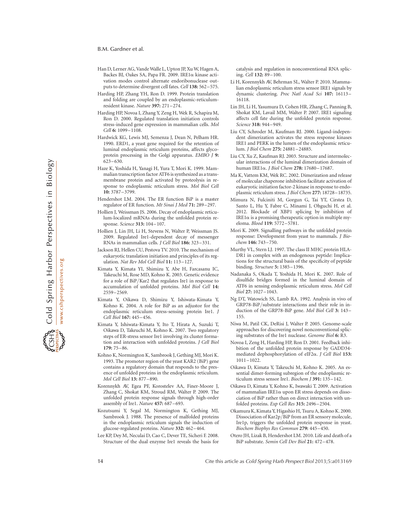#### B.M. Gardner et al.

- Han D, Lerner AG, Vande Walle L, Upton JP, Xu W, Hagen A, Backes BJ, Oakes SA, Papa FR. 2009. IRE1a kinase activation modes control alternate endoribonuclease outputs to determine divergent cell fates. Cell 138: 562 –575.
- Harding HP, Zhang YH, Ron D. 1999. Protein translation and folding are coupled by an endoplasmic-reticulumresident kinase. Nature 397: 271–274.
- Harding HP, Novoa I, Zhang Y, Zeng H, Wek R, Schapira M, Ron D. 2000. Regulated translation initiation controls stress-induced gene expression in mammalian cells. Mol Cell 6: 1099-1108.
- Hardwick KG, Lewis MJ, Semenza J, Dean N, Pelham HR. 1990. ERD1, a yeast gene required for the retention of luminal endoplasmic reticulum proteins, affects glycoprotein processing in the Golgi apparatus. EMBO J 9: 623–630.
- Haze K, Yoshida H, Yanagi H, Yura T, Mori K. 1999. Mammalian transcription factor ATF6 is synthesized as a transmembrane protein and activated by proteolysis in response to endoplasmic reticulum stress. Mol Biol Cell 10: 3787–3799.
- Hendershot LM. 2004. The ER function BiP is a master regulator of ER function. Mt Sinai J Med 71: 289 –297.
- Hollien J, Weissman JS. 2006. Decay of endoplasmic reticulum-localized mRNAs during the unfolded protein response. Science 313: 104–107.
- Hollien J, Lin JH, Li H, Stevens N, Walter P, Weissman JS. 2009. Regulated Ire1-dependent decay of messenger RNAs in mammalian cells. J Cell Biol 186: 323–331.
- Jackson RJ, Hellen CU, Pestova TV. 2010. The mechanism of eukaryotic translation initiation and principles of its regulation. Nat Rev Mol Cell Biol 11: 113-127.
- Kimata Y, Kimata YI, Shimizu Y, Abe H, Farcasanu IC, Takeuchi M, Rose MD, Kohno K. 2003. Genetic evidence for a role of BiP/Kar2 that regulates Ire1 in response to accumulation of unfolded proteins. Mol Biol Cell 14: 2559–2569.
- Kimata Y, Oikawa D, Shimizu Y, Ishiwata-Kimata Y, Kohno K. 2004. A role for BiP as an adjustor for the endoplasmic reticulum stress-sensing protein Ire1. J Cell Biol 167: 445-456.
- Kimata Y, Ishiwata-Kimata Y, Ito T, Hirata A, Suzuki T, Oikawa D, Takeuchi M, Kohno K. 2007. Two regulatory steps of ER-stress sensor Ire1 involving its cluster formation and interaction with unfolded proteins. J Cell Biol 179: 75–86.
- Kohno K, Normington K, Sambrook J, Gething MJ, Mori K. 1993. The promoter region of the yeast KAR2 (BiP) gene contains a regulatory domain that responds to the presence of unfolded proteins in the endoplasmic reticulum. Mol Cell Biol 13: 877–890.
- Korennykh AV, Egea PF, Korostelev AA, Finer-Moore J, Zhang C, Shokat KM, Stroud RM, Walter P. 2009. The unfolded protein response signals through high-order assembly of Ire1. Nature 457: 687–693.
- Kozutsumi Y, Segal M, Normington K, Gething MJ, Sambrook J. 1988. The presence of malfolded proteins in the endoplasmic reticulum signals the induction of glucose-regulated proteins. Nature 332: 462–464.
- Lee KP, Dey M, Neculai D, Cao C, Dever TE, Sicheri F. 2008. Structure of the dual enzyme Ire1 reveals the basis for

catalysis and regulation in nonconventional RNA splicing. Cell 132: 89–100.

- Li H, Korennykh AV, Behrman SL, Walter P. 2010. Mammalian endoplasmic reticulum stress sensor IRE1 signals by dynamic clustering. Proc Natl Acad Sci 107: 16113– 16118.
- Lin JH, Li H, Yasumura D, Cohen HR, Zhang C, Panning B, Shokat KM, Lavail MM, Walter P. 2007. IRE1 signaling affects cell fate during the unfolded protein response. Science 318: 944–949.
- Liu CY, Schroder M, Kaufman RJ. 2000. Ligand-independent dimerization activates the stress response kinases IRE1 and PERK in the lumen of the endoplasmic reticulum. J Biol Chem 275: 24881–24885.
- Liu CY, Xu Z, Kaufman RJ. 2003. Structure and intermolecular interactions of the luminal dimerization domain of human IRE1a. J Biol Chem 278: 17680–17687.
- Ma K, Vattem KM, Wek RC. 2002. Dimerization and release of molecular chaperone inhibition facilitate activation of eukaryotic initiation factor-2 kinase in response to endoplasmic reticulum stress. J Biol Chem 277: 18728–18735.
- Mimura N, Fulciniti M, Gorgun G, Tai YT, Cirstea D, Santo L, Hu Y, Fabre C, Minami J, Ohguchi H, et al. 2012. Blockade of XBP1 splicing by inhibition of IRE1 $\alpha$  is a promising therapeutic option in multiple myeloma. Blood 119: 5772–5781.
- Mori K. 2009. Signalling pathways in the unfolded protein response: Development from yeast to mammals. J Biochem 146: 743-750.
- Murthy VL, Stern LJ. 1997. The class II MHC protein HLA-DR1 in complex with an endogenous peptide: Implications for the structural basis of the specificity of peptide binding. Structure 5: 1385–1396.
- Nadanaka S, Okada T, Yoshida H, Mori K. 2007. Role of disulfide bridges formed in the luminal domain of ATF6 in sensing endoplasmic reticulum stress. Mol Cell Biol 27: 1027–1043.
- Ng DT, Watowich SS, Lamb RA. 1992. Analysis in vivo of GRP78-BiP/substrate interactions and their role in induction of the GRP78-BiP gene. Mol Biol Cell 3: 143– 155.
- Niwa M, Patil CK, DeRisi J, Walter P. 2005. Genome-scale approaches for discovering novel nonconventional splicing substrates of the Ire1 nuclease. Genome Biol 6: R3.
- Novoa I, Zeng H, Harding HP, Ron D. 2001. Feedback inhibition of the unfolded protein response by GADD34 mediated dephosphorylation of eIF2a. J Cell Biol 153: 1011–1022.
- Oikawa D, Kimata Y, Takeuchi M, Kohno K. 2005. An essential dimer-forming subregion of the endoplasmic reticulum stress sensor Ire1. Biochem J 391: 135–142.
- Oikawa D, Kimata Y, Kohno K, Iwawaki T. 2009. Activation of mammalian IRE1 $\alpha$  upon ER stress depends on dissociation of BiP rather than on direct interaction with unfolded proteins. Exp Cell Res 315: 2496–2504.
- Okamura K, Kimata Y, Higashio H, Tsuru A, Kohno K. 2000. Dissociation of Kar2p/BiP from an ER sensory molecule, Ire1p, triggers the unfolded protein response in yeast. Biochem Biophys Res Commun 279: 445 –450.
- Otero JH, Lizak B, Hendershot LM. 2010. Life and death of a BiP substrate. Semin Cell Dev Biol 21: 472 –478.

14 Cite this article as Cold Spring Harb Perspect Biol 2013;5:a013169